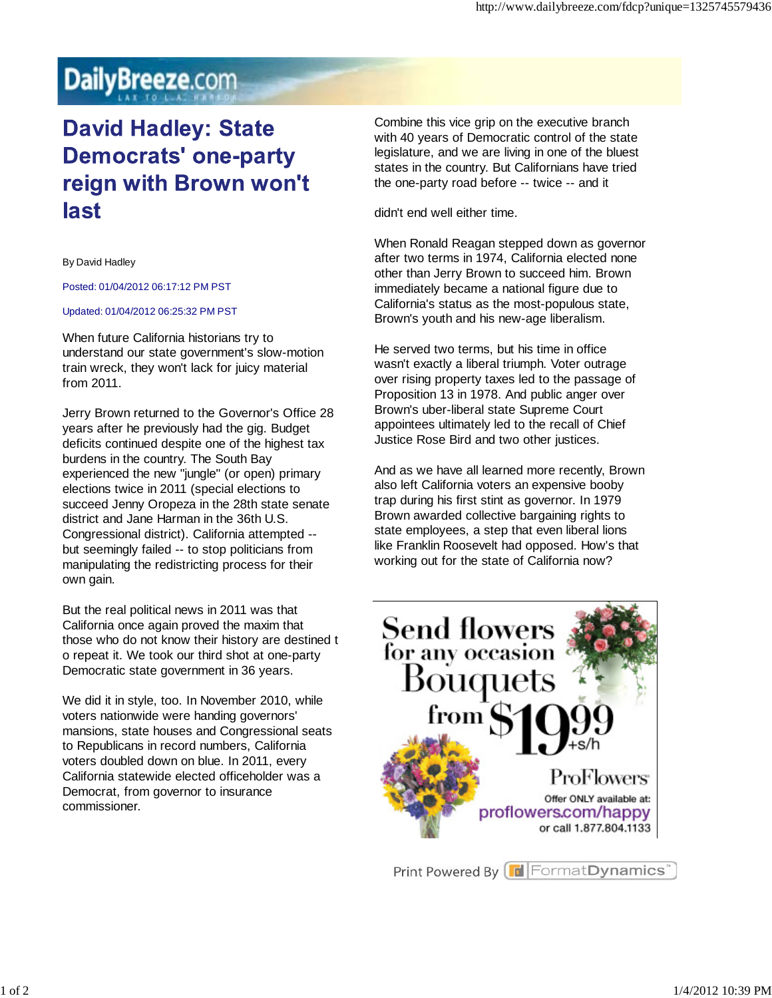## DailyBreeze.com

## **David Hadley: State Democrats' one-party** reign with Brown won't last

By David Hadley

Posted: 01/04/2012 06:17:12 PM PST

## Updated: 01/04/2012 06:25:32 PM PST

When future California historians try to understand our state government's slow-motion train wreck, they won't lack for juicy material from 2011.

Jerry Brown returned to the Governor's Office 28 years after he previously had the gig. Budget deficits continued despite one of the highest tax burdens in the country. The South Bay experienced the new "jungle" (or open) primary elections twice in 2011 (special elections to succeed Jenny Oropeza in the 28th state senate district and Jane Harman in the 36th U.S. Congressional district). California attempted - but seemingly failed -- to stop politicians from manipulating the redistricting process for their own gain.

But the real political news in 2011 was that California once again proved the maxim that those who do not know their history are destined t o repeat it. We took our third shot at one-party Democratic state government in 36 years.

We did it in style, too. In November 2010, while voters nationwide were handing governors' mansions, state houses and Congressional seats to Republicans in record numbers, California voters doubled down on blue. In 2011, every California statewide elected officeholder was a Democrat, from governor to insurance commissioner.

Combine this vice grip on the executive branch with 40 years of Democratic control of the state legislature, and we are living in one of the bluest states in the country. But Californians have tried the one-party road before -- twice -- and it

didn't end well either time.

When Ronald Reagan stepped down as governor after two terms in 1974, California elected none other than Jerry Brown to succeed him. Brown immediately became a national figure due to California's status as the most-populous state, Brown's youth and his new-age liberalism.

He served two terms, but his time in office wasn't exactly a liberal triumph. Voter outrage over rising property taxes led to the passage of Proposition 13 in 1978. And public anger over Brown's uber-liberal state Supreme Court appointees ultimately led to the recall of Chief Justice Rose Bird and two other justices.

And as we have all learned more recently, Brown also left California voters an expensive booby trap during his first stint as governor. In 1979 Brown awarded collective bargaining rights to state employees, a step that even liberal lions like Franklin Roosevelt had opposed. How's that working out for the state of California now?